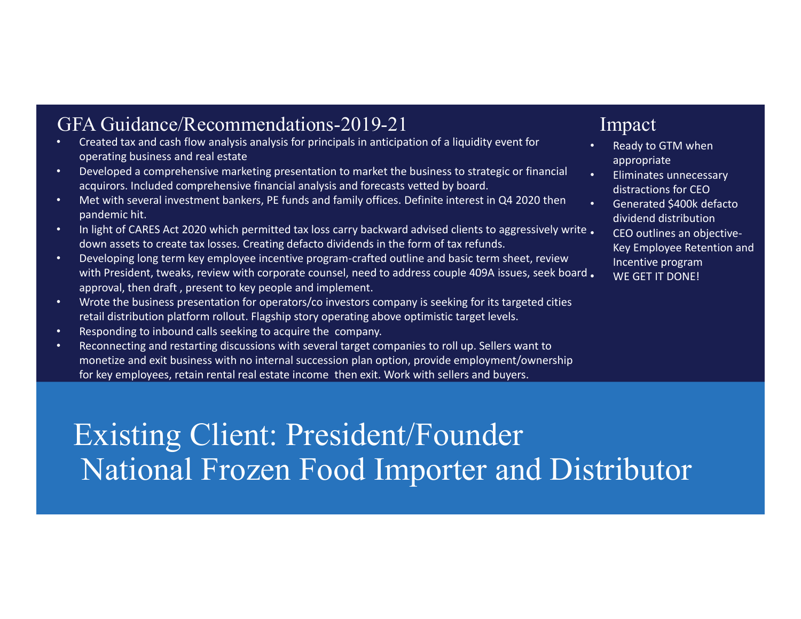# GFA Guidance/Recommendations-2019-21 Impact

- • Created tax and cash flow analysis analysis for principals in anticipation of <sup>a</sup> liquidity event for operating business and real estate
- Developed <sup>a</sup> comprehensive marketing presentation to market the business to strategic or financial acquirors. Included comprehensive financial analysis and forecasts vetted by board.
- Met with several investment bankers, PE funds and family offices. Definite interest in Q4 2020 then pandemic hit.
- In light of CARES Act 2020 which permitted tax loss carry backward advised clients to aggressively write . down assets to create tax losses. Creating defacto dividends in the form of tax refunds.
- Developing long term key employee incentive program-crafted outline and basic term sheet, review with President, tweaks, review with corporate counsel, need to address couple 409A issues, seek board •approval, then draft , present to key people and implement.
- Wrote the business presentation for operators/co investors company is seeking for its targeted cities retail distribution platform rollout. Flagship story operating above optimistic target levels.
- Responding to inbound calls seeking to acquire the company.
- Reconnecting and restarting discussions with several target companies to roll up. Sellers want to monetize and exit business with no internal succession plan option, provide employment/ownership for key employees, retain rental real estate income then exit. Work with sellers and buyers.

•

- • Ready to GTM when appropriate
- •• Eliminates unnecessary distractions for CEO
- Generated \$400k defacto dividend distribution • CEO outlines an objective-Key Employee Retention and Incentive program WE GET IT DONE!

Existing Client: President/Founder National Frozen Food Importer and Distributor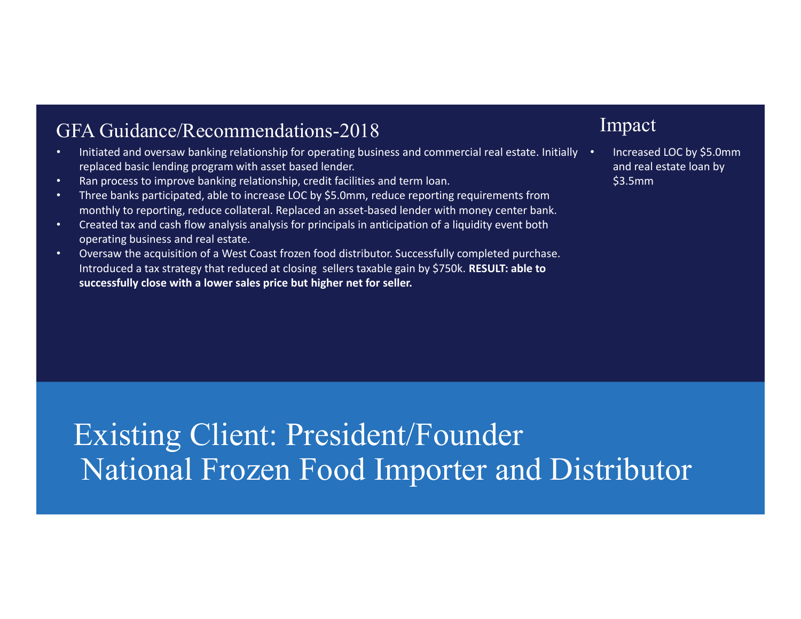# GFA Guidance/Recommendations-2018

- Initiated and oversaw banking relationship for operating business and commercial real estate. Initially replaced basic lending program with asset based lender.
- Ran process to improve banking relationship, credit facilities and term loan.
- Three banks participated, able to increase LOC by \$5.0mm, reduce reporting requirements from monthly to reporting, reduce collateral. Replaced an asset‐based lender with money center bank.
- Created tax and cash flow analysis analysis for principals in anticipation of <sup>a</sup> liquidity event both operating business and real estate.
- Oversaw the acquisition of <sup>a</sup> West Coast frozen food distributor. Successfully completed purchase. Introduced <sup>a</sup> tax strategy that reduced at closing sellers taxable gain by \$750k. **RESULT: able to successfully close with a lower sales price but higher net for seller.**

# Impact

• Increased LOC by \$5.0mm and real estate loan by \$3.5mm

Existing Client: President/Founder National Frozen Food Importer and Distributor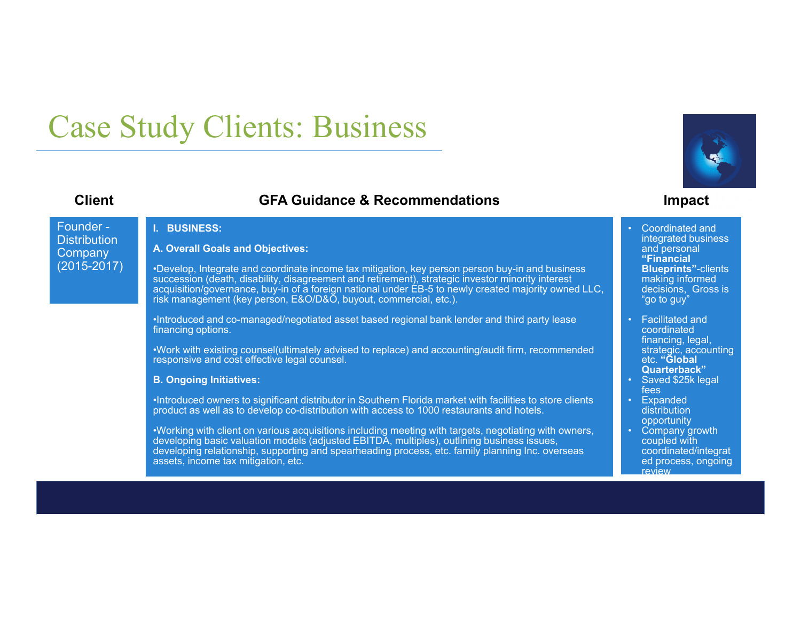# Case Study Clients: Business

# **Client GFA Guidance & Recommendations Impact**



Founder -**Distribution Company** (2015-2017)

## **I. BUSINESS:**

### **A. Overall Goals and Objectives:**

•Develop, Integrate and coordinate income tax mitigation, key person person buy-in and business succession (death, disability, disagreement and retirement), strategic investor minority interest acquisition/governance, buy-in of a foreign national under EB-5 to newly created majority owned LLC, risk management (key person, E&O/D&O, buyout, commercial, etc.).

•Introduced and co-managed/negotiated asset based regional bank lender and third party lease financing options.

•Work with existing counsel(ultimately advised to replace) and accounting/audit firm, recommended responsive and cost effective legal counsel.

### **B. Ongoing Initiatives:**

•Introduced owners to significant distributor in Southern Florida market with facilities to store clients product as well as to develop co-distribution with access to 1000 restaurants and hotels.

•Working with client on various acquisitions including meeting with targets, negotiating with owners, developing basic valuation models (adjusted EBITDA, multiples), outlining business issues, developing relationship, supporting and spearheading process, etc. family planning Inc. overseas assets, income tax mitigation, etc.

 Coordinated and integrated business and personal **"Financial Blueprints"**-clients making informed decisions, Gross is "go to guy"

•

- • Facilitated and coordinated financing, legal, strategic, accounting etc. **"Global Quarterback"**
- • Saved \$25k legal fees
- Expanded distribution opportunity
- • Company growth coupled with coordinated/integrat ed process, ongoing review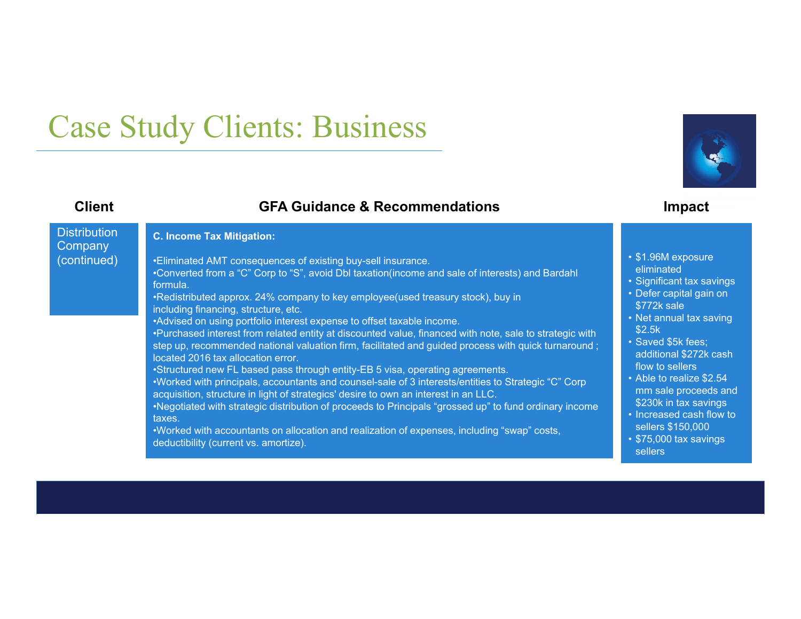# Case Study Clients: Business

# **Client GFA Guidance & Recommendations Impact**

eliminated

\$772k sale

flow to sellers

sellers \$150,000

additional \$272k cash

mm sale proceeds and \$230k in tax savings

\$2.5k

sellers

### **Distribution Company** (continued) **C. Income Tax Mitigation:** •Eliminated AMT consequences of existing buy-sell insurance. •Converted from a "C" Corp to "S", avoid Dbl taxation(income and sale of interests) and Bardahl formula. •Redistributed approx. 24% company to key employee(used treasury stock), buy in including financing, structure, etc. •Advised on using portfolio interest expense to offset taxable income. •Purchased interest from related entity at discounted value, financed with note, sale to strategic with step up, recommended national valuation firm, facilitated and guided process with quick turnaround ; located 2016 tax allocation error.•Structured new FL based pass through entity-EB 5 visa, operating agreements. •Worked with principals, accountants and counsel-sale of 3 interests/entities to Strategic "C" Corp acquisition, structure in light of strategics' desire to own an interest in an LLC. •Negotiated with strategic distribution of proceeds to Principals "grossed up" to fund ordinary income taxes.•Worked with accountants on allocation and realization of expenses, including "swap" costs, deductibility (current vs. amortize). • \$1.96M exposure • Significant tax savings • Defer capital gain on • Net annual tax saving • Saved \$5k fees; • Able to realize \$2.54 • Increased cash flow to • \$75,000 tax savings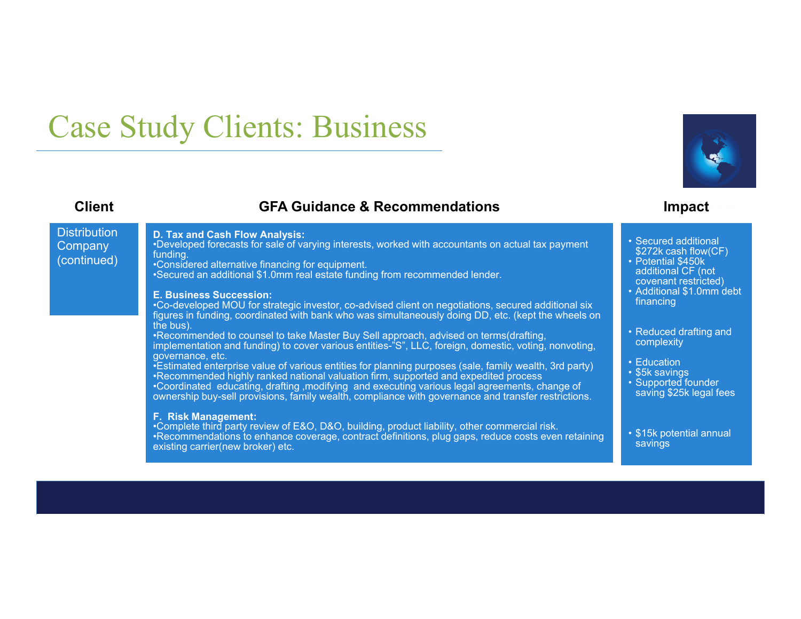# Case Study Clients: Business

# **Client GFA Guidance & Recommendations Impact**

**Distribution Company** 

(continued)

## **D. Tax and Cash Flow Analysis:**

•Developed forecasts for sale of varying interests, worked with accountants on actual tax payment funding.

•Considered alternative financing for equipment.

•Secured an additional \$1.0mm real estate funding from recommended lender.

### **E. Business Succession:**

 •Co-developed MOU for strategic investor, co-advised client on negotiations, secured additional six figures in funding, coordinated with bank who was simultaneously doing DD, etc. (kept the wheels on the bus).

•Recommended to counsel to take Master Buy Sell approach, advised on terms(drafting, implementation and funding) to cover various entities-"S", LLC, foreign, domestic, voting, nonvoting, governance, etc.

•Estimated enterprise value of various entities for planning purposes (sale, family wealth, 3rd party) •Recommended highly ranked national valuation firm, supported and expedited process •Coordinated educating, drafting ,modifying and executing various legal agreements, change of ownership buy-sell provisions, family wealth, compliance with governance and transfer restrictions.

### **F. Risk Management:**

•Complete third party review of E&O, D&O, building, product liability, other commercial risk. •Recommendations to enhance coverage, contract definitions, plug gaps, reduce costs even retaining existing carrier(new broker) etc.

- Secured additional
- \$272k cash flow(CF) • Potential \$450k additional CF (not covenant restricted)
- Additional \$1.0mm debt
- financing
- Reduced drafting and complexity
- Education
- \$5k savings
- Supported founder saving \$25k legal fees
- \$15k potential annual savings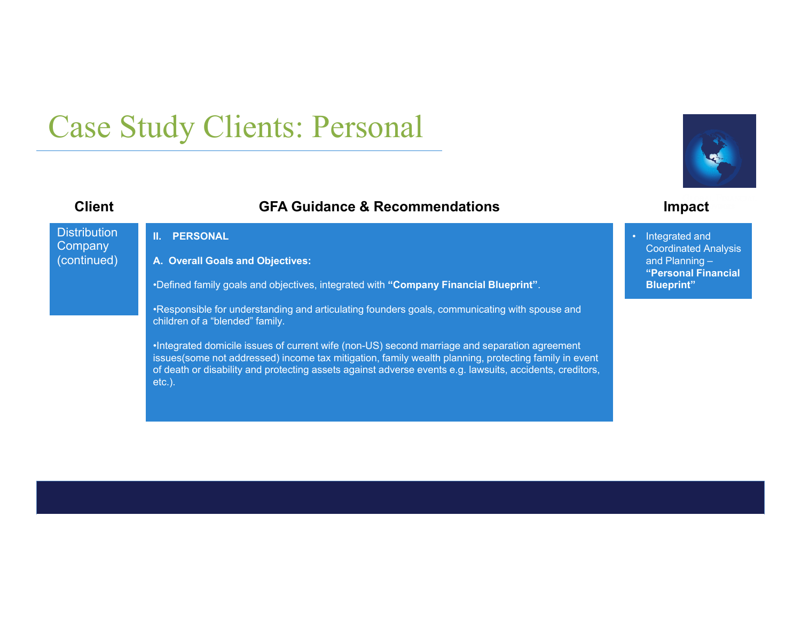# Case Study Clients: Personal

# **Client GFA Guidance & Recommendations Impact**



**II. PERSONAL** 

**A. Overall Goals and Objectives:**

•Defined family goals and objectives, integrated with **"Company Financial Blueprint"**.

•Responsible for understanding and articulating founders goals, communicating with spouse and children of a "blended" family.

•Integrated domicile issues of current wife (non-US) second marriage and separation agreement issues(some not addressed) income tax mitigation, family wealth planning, protecting family in event of death or disability and protecting assets against adverse events e.g. lawsuits, accidents, creditors, etc.).



 Integrated and Coordinated Analysis and Planning – **"Personal Financial Blueprint"**